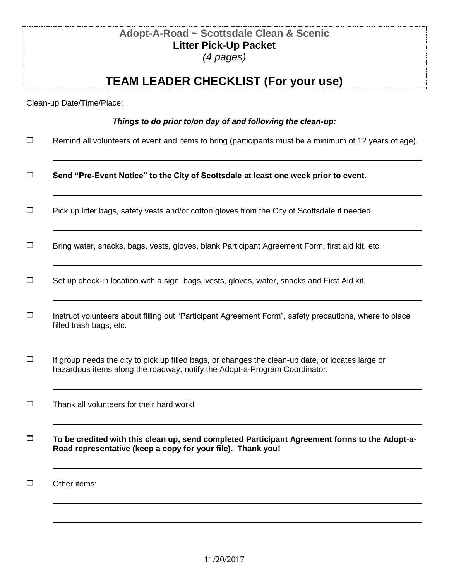|        | Adopt-A-Road ~ Scottsdale Clean & Scenic<br><b>Litter Pick-Up Packet</b><br>$(4$ pages)                                                                                         |
|--------|---------------------------------------------------------------------------------------------------------------------------------------------------------------------------------|
|        | <b>TEAM LEADER CHECKLIST (For your use)</b>                                                                                                                                     |
|        | Clean-up Date/Time/Place:                                                                                                                                                       |
|        | Things to do prior to/on day of and following the clean-up:                                                                                                                     |
| $\Box$ | Remind all volunteers of event and items to bring (participants must be a minimum of 12 years of age).                                                                          |
| $\Box$ | Send "Pre-Event Notice" to the City of Scottsdale at least one week prior to event.                                                                                             |
| $\Box$ | Pick up litter bags, safety vests and/or cotton gloves from the City of Scottsdale if needed.                                                                                   |
| $\Box$ | Bring water, snacks, bags, vests, gloves, blank Participant Agreement Form, first aid kit, etc.                                                                                 |
| $\Box$ | Set up check-in location with a sign, bags, vests, gloves, water, snacks and First Aid kit.                                                                                     |
| $\Box$ | Instruct volunteers about filling out "Participant Agreement Form", safety precautions, where to place<br>filled trash bags, etc.                                               |
| $\Box$ | If group needs the city to pick up filled bags, or changes the clean-up date, or locates large or<br>hazardous items along the roadway, notify the Adopt-a-Program Coordinator. |
| $\Box$ | Thank all volunteers for their hard work!                                                                                                                                       |
| $\Box$ | To be credited with this clean up, send completed Participant Agreement forms to the Adopt-a-<br>Road representative (keep a copy for your file). Thank you!                    |
| □      | Other items:                                                                                                                                                                    |
|        |                                                                                                                                                                                 |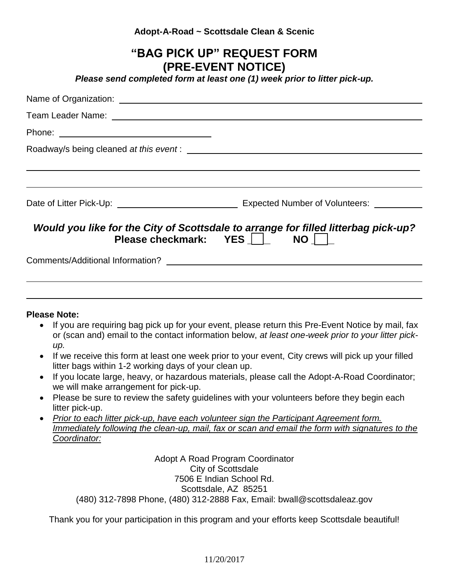### **Adopt-A-Road ~ Scottsdale Clean & Scenic**

|                     | "BAG PICK UP" REQUEST FORM<br>(PRE-EVENT NOTICE)<br>Please send completed form at least one (1) week prior to litter pick-up. |
|---------------------|-------------------------------------------------------------------------------------------------------------------------------|
|                     |                                                                                                                               |
|                     |                                                                                                                               |
|                     |                                                                                                                               |
|                     |                                                                                                                               |
|                     |                                                                                                                               |
|                     |                                                                                                                               |
|                     |                                                                                                                               |
|                     | Would you like for the City of Scottsdale to arrange for filled litterbag pick-up?<br>Please checkmark: YES   NO              |
|                     |                                                                                                                               |
|                     |                                                                                                                               |
|                     |                                                                                                                               |
| <b>Please Note:</b> |                                                                                                                               |

 If you are requiring bag pick up for your event, please return this Pre-Event Notice by mail, fax or (scan and) email to the contact information below, *at least one-week prior to your litter pickup.*

i<br>L

- If we receive this form at least one week prior to your event, City crews will pick up your filled litter bags within 1-2 working days of your clean up.
- If you locate large, heavy, or hazardous materials, please call the Adopt-A-Road Coordinator; we will make arrangement for pick-up.
- Please be sure to review the safety guidelines with your volunteers before they begin each litter pick-up.
- *Prior to each litter pick-up, have each volunteer sign the Participant Agreement form. Immediately following the clean-up, mail, fax or scan and email the form with signatures to the Coordinator:*

Adopt A Road Program Coordinator City of Scottsdale 7506 E Indian School Rd. Scottsdale, AZ 85251 (480) 312-7898 Phone, (480) 312-2888 Fax, Email: bwall@scottsdaleaz.gov

Thank you for your participation in this program and your efforts keep Scottsdale beautiful!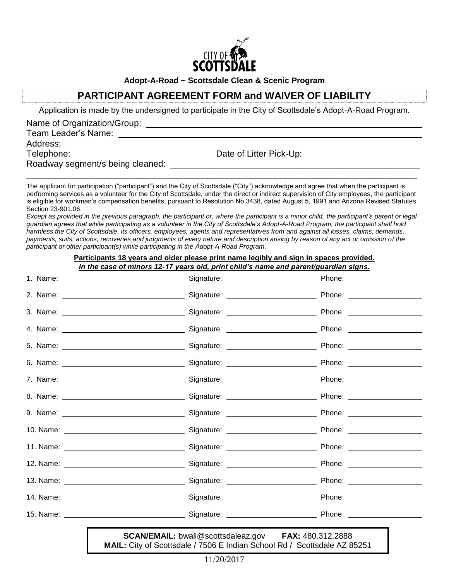

**Adopt-A-Road ~ Scottsdale Clean & Scenic Program**

## **PARTICIPANT AGREEMENT FORM and WAIVER OF LIABILITY**

Application is made by the undersigned to participate in the City of Scottsdale's Adopt-A-Road Program.

Name of Organization/Group:

Team Leader's Name:

Address:

Telephone: Date of Litter Pick-Up:

Roadway segment/s being cleaned:

The applicant for participation ("participant") and the City of Scottsdale ("City") acknowledge and agree that when the participant is performing services as a volunteer for the City of Scottsdale, under the direct or indirect supervision of City employees, the participant is eligible for workman's compensation benefits, pursuant to Resolution No.3438, dated August 5, 1991 and Arizona Revised Statutes Section 23-901.06.

\_\_\_\_\_\_\_\_\_\_\_\_\_\_\_\_\_\_\_\_\_\_\_\_\_\_\_\_\_\_\_\_\_\_\_\_\_\_\_\_\_\_\_\_\_\_\_\_\_\_\_\_\_\_\_\_\_\_\_\_\_\_\_\_\_\_\_\_\_\_\_\_\_\_\_\_\_\_\_\_

*Except as provided in the previous paragraph, the participant or, where the participant is a minor child, the participant's parent or legal guardian agrees that while participating as a volunteer in the City of Scottsdale's Adopt-A-Road Program, the participant shall hold harmless the City of Scottsdale, its officers, employees, agents and representatives from and against all losses, claims, demands, payments, suits, actions, recoveries and judgments of every nature and description arising by reason of any act or omission of the participant or other participant(s) while participating in the Adopt-A-Road Program.*

| Participants 18 years and older please print name legibly and sign in spaces provided.<br>In the case of minors 12-17 years old, print child's name and parent/guardian signs. |                                                                |  |  |  |
|--------------------------------------------------------------------------------------------------------------------------------------------------------------------------------|----------------------------------------------------------------|--|--|--|
|                                                                                                                                                                                |                                                                |  |  |  |
|                                                                                                                                                                                |                                                                |  |  |  |
|                                                                                                                                                                                |                                                                |  |  |  |
|                                                                                                                                                                                |                                                                |  |  |  |
|                                                                                                                                                                                |                                                                |  |  |  |
|                                                                                                                                                                                |                                                                |  |  |  |
|                                                                                                                                                                                |                                                                |  |  |  |
|                                                                                                                                                                                |                                                                |  |  |  |
|                                                                                                                                                                                |                                                                |  |  |  |
|                                                                                                                                                                                |                                                                |  |  |  |
|                                                                                                                                                                                |                                                                |  |  |  |
|                                                                                                                                                                                |                                                                |  |  |  |
|                                                                                                                                                                                |                                                                |  |  |  |
|                                                                                                                                                                                |                                                                |  |  |  |
|                                                                                                                                                                                |                                                                |  |  |  |
|                                                                                                                                                                                | $SCAN/EMAll + hwall@scottedal$ ez governet $FAX: 480,312,2888$ |  |  |  |

**MAIL:** bwall@scottsdaleaz.gov **MAIL:** City of Scottsdale / 7506 E Indian School Rd / Scottsdale AZ 85251